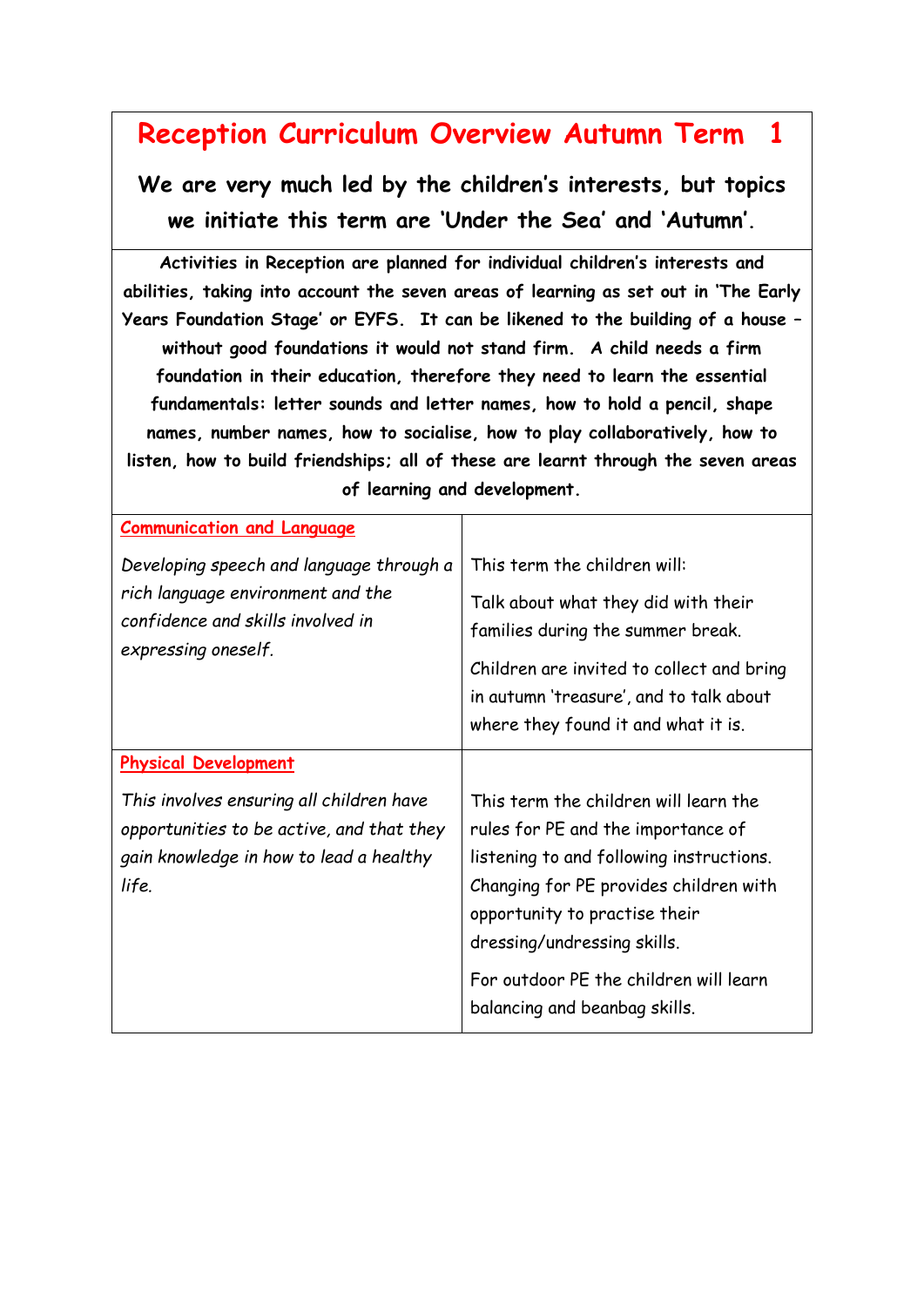## **Reception Curriculum Overview Autumn Term 1**

**We are very much led by the children's interests, but topics we initiate this term are 'Under the Sea' and 'Autumn'.**

**Activities in Reception are planned for individual children's interests and abilities, taking into account the seven areas of learning as set out in 'The Early Years Foundation Stage' or EYFS. It can be likened to the building of a house – without good foundations it would not stand firm. A child needs a firm foundation in their education, therefore they need to learn the essential fundamentals: letter sounds and letter names, how to hold a pencil, shape names, number names, how to socialise, how to play collaboratively, how to listen, how to build friendships; all of these are learnt through the seven areas of learning and development.**

| <b>Communication and Language</b>                                                                                                         |                                                                                                                                                                                                                                                                                                              |
|-------------------------------------------------------------------------------------------------------------------------------------------|--------------------------------------------------------------------------------------------------------------------------------------------------------------------------------------------------------------------------------------------------------------------------------------------------------------|
| Developing speech and language through a<br>rich language environment and the<br>confidence and skills involved in<br>expressing oneself. | This term the children will:<br>Talk about what they did with their<br>families during the summer break.<br>Children are invited to collect and bring<br>in autumn 'treasure', and to talk about<br>where they found it and what it is.                                                                      |
| <b>Physical Development</b>                                                                                                               |                                                                                                                                                                                                                                                                                                              |
| This involves ensuring all children have<br>opportunities to be active, and that they<br>gain knowledge in how to lead a healthy<br>life. | This term the children will learn the<br>rules for PE and the importance of<br>listening to and following instructions.<br>Changing for PE provides children with<br>opportunity to practise their<br>dressing/undressing skills.<br>For outdoor PE the children will learn<br>balancing and beanbag skills. |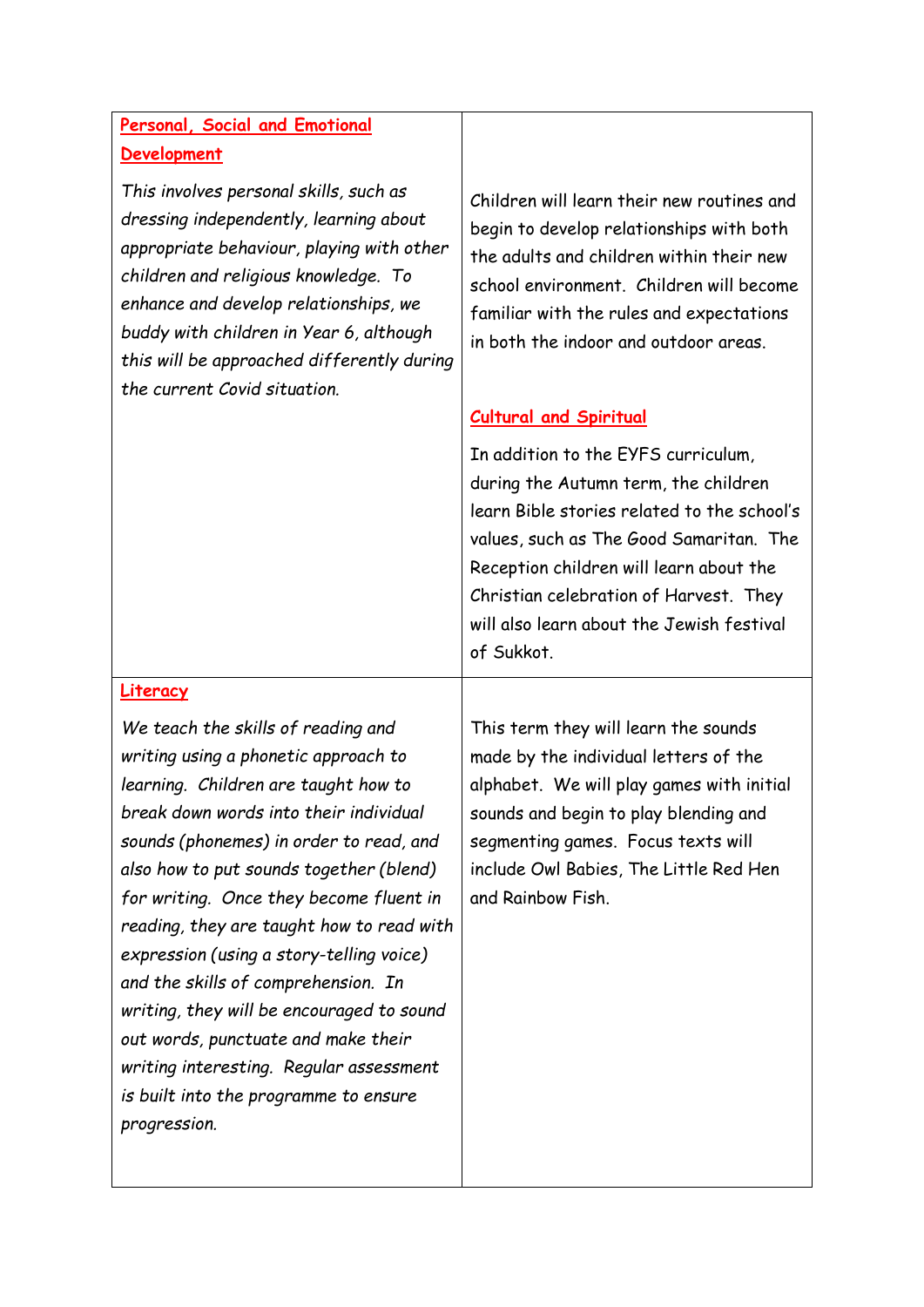## **Personal, Social and Emotional Development**

*This involves personal skills, such as dressing independently, learning about appropriate behaviour, playing with other children and religious knowledge. To enhance and develop relationships, we buddy with children in Year 6, although this will be approached differently during the current Covid situation.*

Children will learn their new routines and begin to develop relationships with both the adults and children within their new school environment. Children will become familiar with the rules and expectations in both the indoor and outdoor areas.

## **Cultural and Spiritual**

In addition to the EYFS curriculum, during the Autumn term, the children learn Bible stories related to the school's values, such as The Good Samaritan. The Reception children will learn about the Christian celebration of Harvest. They will also learn about the Jewish festival of Sukkot.

## **Literacy**

*We teach the skills of reading and writing using a phonetic approach to learning. Children are taught how to break down words into their individual sounds (phonemes) in order to read, and also how to put sounds together (blend) for writing. Once they become fluent in reading, they are taught how to read with expression (using a story-telling voice) and the skills of comprehension. In writing, they will be encouraged to sound out words, punctuate and make their writing interesting. Regular assessment is built into the programme to ensure progression.* 

This term they will learn the sounds made by the individual letters of the alphabet. We will play games with initial sounds and begin to play blending and segmenting games. Focus texts will include Owl Babies, The Little Red Hen and Rainbow Fish.